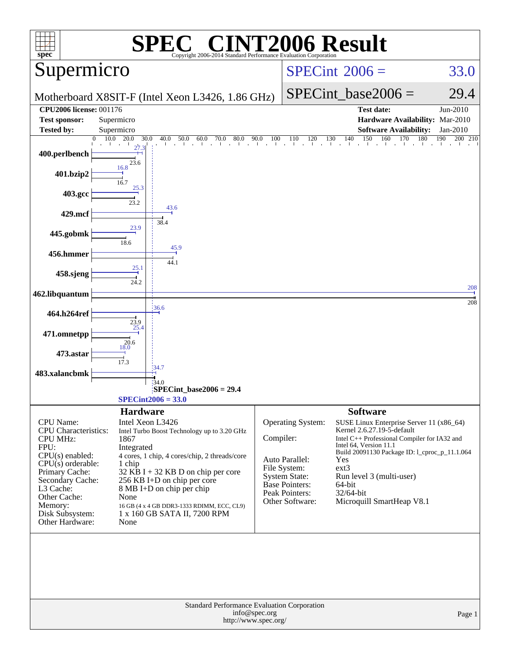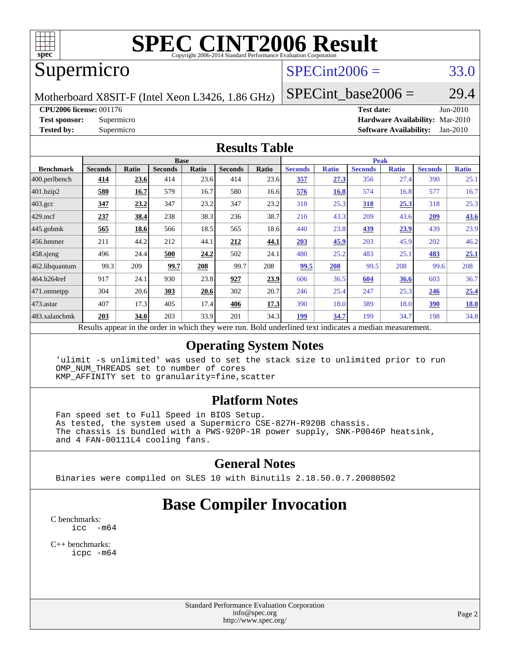

# **[SPEC CINT2006 Result](http://www.spec.org/auto/cpu2006/Docs/result-fields.html#SPECCINT2006Result)**

## Supermicro

## $SPECint2006 = 33.0$  $SPECint2006 = 33.0$

Motherboard X8SIT-F (Intel Xeon L3426, 1.86 GHz)

### SPECint base2006 =  $29.4$

**[CPU2006 license:](http://www.spec.org/auto/cpu2006/Docs/result-fields.html#CPU2006license)** 001176 **[Test date:](http://www.spec.org/auto/cpu2006/Docs/result-fields.html#Testdate)** Jun-2010

**[Test sponsor:](http://www.spec.org/auto/cpu2006/Docs/result-fields.html#Testsponsor)** Supermicro **[Hardware Availability:](http://www.spec.org/auto/cpu2006/Docs/result-fields.html#HardwareAvailability)** Mar-2010 **[Tested by:](http://www.spec.org/auto/cpu2006/Docs/result-fields.html#Testedby)** Supermicro **[Software Availability:](http://www.spec.org/auto/cpu2006/Docs/result-fields.html#SoftwareAvailability)** Jan-2010

#### **[Results Table](http://www.spec.org/auto/cpu2006/Docs/result-fields.html#ResultsTable)**

|                                                                                                          | <b>Base</b>    |       |                |       |                |             | <b>Peak</b>    |              |                |              |                |              |  |
|----------------------------------------------------------------------------------------------------------|----------------|-------|----------------|-------|----------------|-------------|----------------|--------------|----------------|--------------|----------------|--------------|--|
| <b>Benchmark</b>                                                                                         | <b>Seconds</b> | Ratio | <b>Seconds</b> | Ratio | <b>Seconds</b> | Ratio       | <b>Seconds</b> | <b>Ratio</b> | <b>Seconds</b> | <b>Ratio</b> | <b>Seconds</b> | <b>Ratio</b> |  |
| 400.perlbench                                                                                            | 414            | 23.6  | 414            | 23.6  | 414            | 23.6        | 357            | 27.3         | 356            | 27.4         | 390            | 25.1         |  |
| 401.bzip2                                                                                                | 580            | 16.7  | 579            | 16.7  | 580            | 16.6        | 576            | <b>16.8</b>  | 574            | 16.8         | 577            | 16.7         |  |
| $403.\mathrm{gcc}$                                                                                       | 347            | 23.2  | 347            | 23.2  | 347            | 23.2        | 318            | 25.3         | <b>318</b>     | 25.3         | 318            | 25.3         |  |
| $429$ .mcf                                                                                               | 237            | 38.4  | 238            | 38.3  | 236            | 38.7        | 210            | 43.3         | 209            | 43.6         | 209            | 43.6         |  |
| $445$ .gobmk                                                                                             | 565            | 18.6  | 566            | 18.5  | 565            | 18.6        | 440            | 23.8         | <u>439</u>     | 23.9         | 439            | 23.9         |  |
| 456.hmmer                                                                                                | 211            | 44.2  | 212            | 44.1  | 212            | 44.1        | 203            | 45.9         | 203            | 45.9         | 202            | 46.2         |  |
| $458$ .sjeng                                                                                             | 496            | 24.4  | 500            | 24.2  | 502            | 24.1        | 480            | 25.2         | 483            | 25.1         | 483            | 25.1         |  |
| 462.libquantum                                                                                           | 99.3           | 209   | 99.7           | 208   | 99.7           | 208         | 99.5           | 208          | 99.5           | 208          | 99.6           | 208          |  |
| 464.h264ref                                                                                              | 917            | 24.1  | 930            | 23.8  | 927            | <u>23.9</u> | 606            | 36.5         | 604            | 36.6         | 603            | 36.7         |  |
| $ 471$ .omnetpp                                                                                          | 304            | 20.6  | 303            | 20.6  | 302            | 20.7        | 246            | 25.4         | 247            | 25.3         | 246            | 25.4         |  |
| 473.astar                                                                                                | 407            | 17.3  | 405            | 17.4  | 406            | 17.3        | 390            | 18.0         | 389            | 18.0         | 390            | 18.0         |  |
| 483.xalancbmk                                                                                            | 203            | 34.0  | 203            | 33.9  | 201            | 34.3        | 199            | 34.7         | 199            | 34.7         | 198            | 34.8         |  |
| Results appear in the order in which they were run. Bold underlined text indicates a median measurement. |                |       |                |       |                |             |                |              |                |              |                |              |  |

### **[Operating System Notes](http://www.spec.org/auto/cpu2006/Docs/result-fields.html#OperatingSystemNotes)**

 'ulimit -s unlimited' was used to set the stack size to unlimited prior to run OMP\_NUM\_THREADS set to number of cores KMP\_AFFINITY set to granularity=fine,scatter

#### **[Platform Notes](http://www.spec.org/auto/cpu2006/Docs/result-fields.html#PlatformNotes)**

 Fan speed set to Full Speed in BIOS Setup. As tested, the system used a Supermicro CSE-827H-R920B chassis. The chassis is bundled with a PWS-920P-1R power supply, SNK-P0046P heatsink, and 4 FAN-00111L4 cooling fans.

### **[General Notes](http://www.spec.org/auto/cpu2006/Docs/result-fields.html#GeneralNotes)**

Binaries were compiled on SLES 10 with Binutils 2.18.50.0.7.20080502

# **[Base Compiler Invocation](http://www.spec.org/auto/cpu2006/Docs/result-fields.html#BaseCompilerInvocation)**

[C benchmarks](http://www.spec.org/auto/cpu2006/Docs/result-fields.html#Cbenchmarks):  $\text{icc}$   $-\text{m64}$ 

[C++ benchmarks:](http://www.spec.org/auto/cpu2006/Docs/result-fields.html#CXXbenchmarks) [icpc -m64](http://www.spec.org/cpu2006/results/res2010q3/cpu2006-20100608-11667.flags.html#user_CXXbase_intel_icpc_64bit_fc66a5337ce925472a5c54ad6a0de310)

> Standard Performance Evaluation Corporation [info@spec.org](mailto:info@spec.org) <http://www.spec.org/>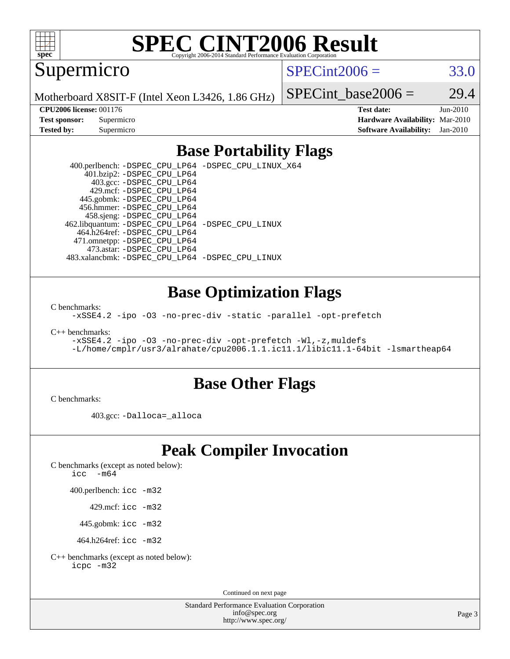

# **[SPEC CINT2006 Result](http://www.spec.org/auto/cpu2006/Docs/result-fields.html#SPECCINT2006Result)**

Supermicro

 $SPECint2006 = 33.0$  $SPECint2006 = 33.0$ 

Motherboard X8SIT-F (Intel Xeon L3426, 1.86 GHz)

SPECint base2006 =  $29.4$ 

**[CPU2006 license:](http://www.spec.org/auto/cpu2006/Docs/result-fields.html#CPU2006license)** 001176 **[Test date:](http://www.spec.org/auto/cpu2006/Docs/result-fields.html#Testdate)** Jun-2010 **[Test sponsor:](http://www.spec.org/auto/cpu2006/Docs/result-fields.html#Testsponsor)** Supermicro **[Hardware Availability:](http://www.spec.org/auto/cpu2006/Docs/result-fields.html#HardwareAvailability)** Mar-2010 **[Tested by:](http://www.spec.org/auto/cpu2006/Docs/result-fields.html#Testedby)** Supermicro **[Software Availability:](http://www.spec.org/auto/cpu2006/Docs/result-fields.html#SoftwareAvailability)** Jan-2010

### **[Base Portability Flags](http://www.spec.org/auto/cpu2006/Docs/result-fields.html#BasePortabilityFlags)**

 400.perlbench: [-DSPEC\\_CPU\\_LP64](http://www.spec.org/cpu2006/results/res2010q3/cpu2006-20100608-11667.flags.html#b400.perlbench_basePORTABILITY_DSPEC_CPU_LP64) [-DSPEC\\_CPU\\_LINUX\\_X64](http://www.spec.org/cpu2006/results/res2010q3/cpu2006-20100608-11667.flags.html#b400.perlbench_baseCPORTABILITY_DSPEC_CPU_LINUX_X64) 401.bzip2: [-DSPEC\\_CPU\\_LP64](http://www.spec.org/cpu2006/results/res2010q3/cpu2006-20100608-11667.flags.html#suite_basePORTABILITY401_bzip2_DSPEC_CPU_LP64) 403.gcc: [-DSPEC\\_CPU\\_LP64](http://www.spec.org/cpu2006/results/res2010q3/cpu2006-20100608-11667.flags.html#suite_basePORTABILITY403_gcc_DSPEC_CPU_LP64) 429.mcf: [-DSPEC\\_CPU\\_LP64](http://www.spec.org/cpu2006/results/res2010q3/cpu2006-20100608-11667.flags.html#suite_basePORTABILITY429_mcf_DSPEC_CPU_LP64) 445.gobmk: [-DSPEC\\_CPU\\_LP64](http://www.spec.org/cpu2006/results/res2010q3/cpu2006-20100608-11667.flags.html#suite_basePORTABILITY445_gobmk_DSPEC_CPU_LP64) 456.hmmer: [-DSPEC\\_CPU\\_LP64](http://www.spec.org/cpu2006/results/res2010q3/cpu2006-20100608-11667.flags.html#suite_basePORTABILITY456_hmmer_DSPEC_CPU_LP64) 458.sjeng: [-DSPEC\\_CPU\\_LP64](http://www.spec.org/cpu2006/results/res2010q3/cpu2006-20100608-11667.flags.html#suite_basePORTABILITY458_sjeng_DSPEC_CPU_LP64) 462.libquantum: [-DSPEC\\_CPU\\_LP64](http://www.spec.org/cpu2006/results/res2010q3/cpu2006-20100608-11667.flags.html#suite_basePORTABILITY462_libquantum_DSPEC_CPU_LP64) [-DSPEC\\_CPU\\_LINUX](http://www.spec.org/cpu2006/results/res2010q3/cpu2006-20100608-11667.flags.html#b462.libquantum_baseCPORTABILITY_DSPEC_CPU_LINUX) 464.h264ref: [-DSPEC\\_CPU\\_LP64](http://www.spec.org/cpu2006/results/res2010q3/cpu2006-20100608-11667.flags.html#suite_basePORTABILITY464_h264ref_DSPEC_CPU_LP64) 471.omnetpp: [-DSPEC\\_CPU\\_LP64](http://www.spec.org/cpu2006/results/res2010q3/cpu2006-20100608-11667.flags.html#suite_basePORTABILITY471_omnetpp_DSPEC_CPU_LP64) 473.astar: [-DSPEC\\_CPU\\_LP64](http://www.spec.org/cpu2006/results/res2010q3/cpu2006-20100608-11667.flags.html#suite_basePORTABILITY473_astar_DSPEC_CPU_LP64) 483.xalancbmk: [-DSPEC\\_CPU\\_LP64](http://www.spec.org/cpu2006/results/res2010q3/cpu2006-20100608-11667.flags.html#suite_basePORTABILITY483_xalancbmk_DSPEC_CPU_LP64) [-DSPEC\\_CPU\\_LINUX](http://www.spec.org/cpu2006/results/res2010q3/cpu2006-20100608-11667.flags.html#b483.xalancbmk_baseCXXPORTABILITY_DSPEC_CPU_LINUX)

### **[Base Optimization Flags](http://www.spec.org/auto/cpu2006/Docs/result-fields.html#BaseOptimizationFlags)**

[C benchmarks](http://www.spec.org/auto/cpu2006/Docs/result-fields.html#Cbenchmarks):

[-xSSE4.2](http://www.spec.org/cpu2006/results/res2010q3/cpu2006-20100608-11667.flags.html#user_CCbase_f-xSSE42_f91528193cf0b216347adb8b939d4107) [-ipo](http://www.spec.org/cpu2006/results/res2010q3/cpu2006-20100608-11667.flags.html#user_CCbase_f-ipo) [-O3](http://www.spec.org/cpu2006/results/res2010q3/cpu2006-20100608-11667.flags.html#user_CCbase_f-O3) [-no-prec-div](http://www.spec.org/cpu2006/results/res2010q3/cpu2006-20100608-11667.flags.html#user_CCbase_f-no-prec-div) [-static](http://www.spec.org/cpu2006/results/res2010q3/cpu2006-20100608-11667.flags.html#user_CCbase_f-static) [-parallel](http://www.spec.org/cpu2006/results/res2010q3/cpu2006-20100608-11667.flags.html#user_CCbase_f-parallel) [-opt-prefetch](http://www.spec.org/cpu2006/results/res2010q3/cpu2006-20100608-11667.flags.html#user_CCbase_f-opt-prefetch)

[C++ benchmarks:](http://www.spec.org/auto/cpu2006/Docs/result-fields.html#CXXbenchmarks)

[-xSSE4.2](http://www.spec.org/cpu2006/results/res2010q3/cpu2006-20100608-11667.flags.html#user_CXXbase_f-xSSE42_f91528193cf0b216347adb8b939d4107) [-ipo](http://www.spec.org/cpu2006/results/res2010q3/cpu2006-20100608-11667.flags.html#user_CXXbase_f-ipo) [-O3](http://www.spec.org/cpu2006/results/res2010q3/cpu2006-20100608-11667.flags.html#user_CXXbase_f-O3) [-no-prec-div](http://www.spec.org/cpu2006/results/res2010q3/cpu2006-20100608-11667.flags.html#user_CXXbase_f-no-prec-div) [-opt-prefetch](http://www.spec.org/cpu2006/results/res2010q3/cpu2006-20100608-11667.flags.html#user_CXXbase_f-opt-prefetch) [-Wl,-z,muldefs](http://www.spec.org/cpu2006/results/res2010q3/cpu2006-20100608-11667.flags.html#user_CXXbase_link_force_multiple1_74079c344b956b9658436fd1b6dd3a8a) [-L/home/cmplr/usr3/alrahate/cpu2006.1.1.ic11.1/libic11.1-64bit -lsmartheap64](http://www.spec.org/cpu2006/results/res2010q3/cpu2006-20100608-11667.flags.html#user_CXXbase_SmartHeap64_e2306cda84805d1ab360117a79ff779c)

### **[Base Other Flags](http://www.spec.org/auto/cpu2006/Docs/result-fields.html#BaseOtherFlags)**

[C benchmarks](http://www.spec.org/auto/cpu2006/Docs/result-fields.html#Cbenchmarks):

403.gcc: [-Dalloca=\\_alloca](http://www.spec.org/cpu2006/results/res2010q3/cpu2006-20100608-11667.flags.html#b403.gcc_baseEXTRA_CFLAGS_Dalloca_be3056838c12de2578596ca5467af7f3)

# **[Peak Compiler Invocation](http://www.spec.org/auto/cpu2006/Docs/result-fields.html#PeakCompilerInvocation)**

[C benchmarks \(except as noted below\)](http://www.spec.org/auto/cpu2006/Docs/result-fields.html#Cbenchmarksexceptasnotedbelow):

[icc -m64](http://www.spec.org/cpu2006/results/res2010q3/cpu2006-20100608-11667.flags.html#user_CCpeak_intel_icc_64bit_f346026e86af2a669e726fe758c88044)

400.perlbench: [icc -m32](http://www.spec.org/cpu2006/results/res2010q3/cpu2006-20100608-11667.flags.html#user_peakCCLD400_perlbench_intel_icc_32bit_a6a621f8d50482236b970c6ac5f55f93)

429.mcf: [icc -m32](http://www.spec.org/cpu2006/results/res2010q3/cpu2006-20100608-11667.flags.html#user_peakCCLD429_mcf_intel_icc_32bit_a6a621f8d50482236b970c6ac5f55f93)

445.gobmk: [icc -m32](http://www.spec.org/cpu2006/results/res2010q3/cpu2006-20100608-11667.flags.html#user_peakCCLD445_gobmk_intel_icc_32bit_a6a621f8d50482236b970c6ac5f55f93)

464.h264ref: [icc -m32](http://www.spec.org/cpu2006/results/res2010q3/cpu2006-20100608-11667.flags.html#user_peakCCLD464_h264ref_intel_icc_32bit_a6a621f8d50482236b970c6ac5f55f93)

[C++ benchmarks \(except as noted below\):](http://www.spec.org/auto/cpu2006/Docs/result-fields.html#CXXbenchmarksexceptasnotedbelow) [icpc -m32](http://www.spec.org/cpu2006/results/res2010q3/cpu2006-20100608-11667.flags.html#user_CXXpeak_intel_icpc_32bit_4e5a5ef1a53fd332b3c49e69c3330699)

Continued on next page

Standard Performance Evaluation Corporation [info@spec.org](mailto:info@spec.org) <http://www.spec.org/>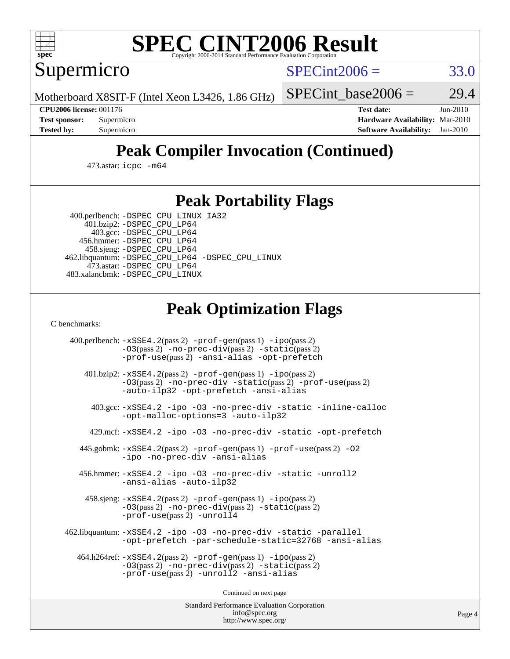

# **[SPEC CINT2006 Result](http://www.spec.org/auto/cpu2006/Docs/result-fields.html#SPECCINT2006Result)**

Supermicro

 $SPECint2006 = 33.0$  $SPECint2006 = 33.0$ 

Motherboard X8SIT-F (Intel Xeon L3426, 1.86 GHz)

SPECint base2006 =  $29.4$ 

**[CPU2006 license:](http://www.spec.org/auto/cpu2006/Docs/result-fields.html#CPU2006license)** 001176 **[Test date:](http://www.spec.org/auto/cpu2006/Docs/result-fields.html#Testdate)** Jun-2010 **[Test sponsor:](http://www.spec.org/auto/cpu2006/Docs/result-fields.html#Testsponsor)** Supermicro **[Hardware Availability:](http://www.spec.org/auto/cpu2006/Docs/result-fields.html#HardwareAvailability)** Mar-2010 **[Tested by:](http://www.spec.org/auto/cpu2006/Docs/result-fields.html#Testedby)** Supermicro **[Software Availability:](http://www.spec.org/auto/cpu2006/Docs/result-fields.html#SoftwareAvailability)** Jan-2010

# **[Peak Compiler Invocation \(Continued\)](http://www.spec.org/auto/cpu2006/Docs/result-fields.html#PeakCompilerInvocation)**

473.astar: [icpc -m64](http://www.spec.org/cpu2006/results/res2010q3/cpu2006-20100608-11667.flags.html#user_peakCXXLD473_astar_intel_icpc_64bit_fc66a5337ce925472a5c54ad6a0de310)

### **[Peak Portability Flags](http://www.spec.org/auto/cpu2006/Docs/result-fields.html#PeakPortabilityFlags)**

 400.perlbench: [-DSPEC\\_CPU\\_LINUX\\_IA32](http://www.spec.org/cpu2006/results/res2010q3/cpu2006-20100608-11667.flags.html#b400.perlbench_peakCPORTABILITY_DSPEC_CPU_LINUX_IA32) 401.bzip2: [-DSPEC\\_CPU\\_LP64](http://www.spec.org/cpu2006/results/res2010q3/cpu2006-20100608-11667.flags.html#suite_peakPORTABILITY401_bzip2_DSPEC_CPU_LP64)

 403.gcc: [-DSPEC\\_CPU\\_LP64](http://www.spec.org/cpu2006/results/res2010q3/cpu2006-20100608-11667.flags.html#suite_peakPORTABILITY403_gcc_DSPEC_CPU_LP64) 456.hmmer: [-DSPEC\\_CPU\\_LP64](http://www.spec.org/cpu2006/results/res2010q3/cpu2006-20100608-11667.flags.html#suite_peakPORTABILITY456_hmmer_DSPEC_CPU_LP64) 458.sjeng: [-DSPEC\\_CPU\\_LP64](http://www.spec.org/cpu2006/results/res2010q3/cpu2006-20100608-11667.flags.html#suite_peakPORTABILITY458_sjeng_DSPEC_CPU_LP64) 462.libquantum: [-DSPEC\\_CPU\\_LP64](http://www.spec.org/cpu2006/results/res2010q3/cpu2006-20100608-11667.flags.html#suite_peakPORTABILITY462_libquantum_DSPEC_CPU_LP64) [-DSPEC\\_CPU\\_LINUX](http://www.spec.org/cpu2006/results/res2010q3/cpu2006-20100608-11667.flags.html#b462.libquantum_peakCPORTABILITY_DSPEC_CPU_LINUX) 473.astar: [-DSPEC\\_CPU\\_LP64](http://www.spec.org/cpu2006/results/res2010q3/cpu2006-20100608-11667.flags.html#suite_peakPORTABILITY473_astar_DSPEC_CPU_LP64) 483.xalancbmk: [-DSPEC\\_CPU\\_LINUX](http://www.spec.org/cpu2006/results/res2010q3/cpu2006-20100608-11667.flags.html#b483.xalancbmk_peakCXXPORTABILITY_DSPEC_CPU_LINUX)

# **[Peak Optimization Flags](http://www.spec.org/auto/cpu2006/Docs/result-fields.html#PeakOptimizationFlags)**

[C benchmarks](http://www.spec.org/auto/cpu2006/Docs/result-fields.html#Cbenchmarks):

 400.perlbench: [-xSSE4.2](http://www.spec.org/cpu2006/results/res2010q3/cpu2006-20100608-11667.flags.html#user_peakPASS2_CFLAGSPASS2_LDCFLAGS400_perlbench_f-xSSE42_f91528193cf0b216347adb8b939d4107)(pass 2) [-prof-gen](http://www.spec.org/cpu2006/results/res2010q3/cpu2006-20100608-11667.flags.html#user_peakPASS1_CFLAGSPASS1_LDCFLAGS400_perlbench_prof_gen_e43856698f6ca7b7e442dfd80e94a8fc)(pass 1) [-ipo](http://www.spec.org/cpu2006/results/res2010q3/cpu2006-20100608-11667.flags.html#user_peakPASS2_CFLAGSPASS2_LDCFLAGS400_perlbench_f-ipo)(pass 2) [-O3](http://www.spec.org/cpu2006/results/res2010q3/cpu2006-20100608-11667.flags.html#user_peakPASS2_CFLAGSPASS2_LDCFLAGS400_perlbench_f-O3)(pass 2) [-no-prec-div](http://www.spec.org/cpu2006/results/res2010q3/cpu2006-20100608-11667.flags.html#user_peakPASS2_CFLAGSPASS2_LDCFLAGS400_perlbench_f-no-prec-div)(pass 2) [-static](http://www.spec.org/cpu2006/results/res2010q3/cpu2006-20100608-11667.flags.html#user_peakPASS2_CFLAGSPASS2_LDCFLAGS400_perlbench_f-static)(pass 2) [-prof-use](http://www.spec.org/cpu2006/results/res2010q3/cpu2006-20100608-11667.flags.html#user_peakPASS2_CFLAGSPASS2_LDCFLAGS400_perlbench_prof_use_bccf7792157ff70d64e32fe3e1250b55)(pass 2) [-ansi-alias](http://www.spec.org/cpu2006/results/res2010q3/cpu2006-20100608-11667.flags.html#user_peakCOPTIMIZE400_perlbench_f-ansi-alias) [-opt-prefetch](http://www.spec.org/cpu2006/results/res2010q3/cpu2006-20100608-11667.flags.html#user_peakCOPTIMIZE400_perlbench_f-opt-prefetch) 401.bzip2: [-xSSE4.2](http://www.spec.org/cpu2006/results/res2010q3/cpu2006-20100608-11667.flags.html#user_peakPASS2_CFLAGSPASS2_LDCFLAGS401_bzip2_f-xSSE42_f91528193cf0b216347adb8b939d4107)(pass 2) [-prof-gen](http://www.spec.org/cpu2006/results/res2010q3/cpu2006-20100608-11667.flags.html#user_peakPASS1_CFLAGSPASS1_LDCFLAGS401_bzip2_prof_gen_e43856698f6ca7b7e442dfd80e94a8fc)(pass 1) [-ipo](http://www.spec.org/cpu2006/results/res2010q3/cpu2006-20100608-11667.flags.html#user_peakPASS2_CFLAGSPASS2_LDCFLAGS401_bzip2_f-ipo)(pass 2) [-O3](http://www.spec.org/cpu2006/results/res2010q3/cpu2006-20100608-11667.flags.html#user_peakPASS2_CFLAGSPASS2_LDCFLAGS401_bzip2_f-O3)(pass 2) [-no-prec-div](http://www.spec.org/cpu2006/results/res2010q3/cpu2006-20100608-11667.flags.html#user_peakCOPTIMIZEPASS2_CFLAGSPASS2_LDCFLAGS401_bzip2_f-no-prec-div) [-static](http://www.spec.org/cpu2006/results/res2010q3/cpu2006-20100608-11667.flags.html#user_peakPASS2_CFLAGSPASS2_LDCFLAGS401_bzip2_f-static)(pass 2) [-prof-use](http://www.spec.org/cpu2006/results/res2010q3/cpu2006-20100608-11667.flags.html#user_peakPASS2_CFLAGSPASS2_LDCFLAGS401_bzip2_prof_use_bccf7792157ff70d64e32fe3e1250b55)(pass 2) [-auto-ilp32](http://www.spec.org/cpu2006/results/res2010q3/cpu2006-20100608-11667.flags.html#user_peakCOPTIMIZE401_bzip2_f-auto-ilp32) [-opt-prefetch](http://www.spec.org/cpu2006/results/res2010q3/cpu2006-20100608-11667.flags.html#user_peakCOPTIMIZE401_bzip2_f-opt-prefetch) [-ansi-alias](http://www.spec.org/cpu2006/results/res2010q3/cpu2006-20100608-11667.flags.html#user_peakCOPTIMIZE401_bzip2_f-ansi-alias) 403.gcc: [-xSSE4.2](http://www.spec.org/cpu2006/results/res2010q3/cpu2006-20100608-11667.flags.html#user_peakCOPTIMIZE403_gcc_f-xSSE42_f91528193cf0b216347adb8b939d4107) [-ipo](http://www.spec.org/cpu2006/results/res2010q3/cpu2006-20100608-11667.flags.html#user_peakCOPTIMIZE403_gcc_f-ipo) [-O3](http://www.spec.org/cpu2006/results/res2010q3/cpu2006-20100608-11667.flags.html#user_peakCOPTIMIZE403_gcc_f-O3) [-no-prec-div](http://www.spec.org/cpu2006/results/res2010q3/cpu2006-20100608-11667.flags.html#user_peakCOPTIMIZE403_gcc_f-no-prec-div) [-static](http://www.spec.org/cpu2006/results/res2010q3/cpu2006-20100608-11667.flags.html#user_peakCOPTIMIZE403_gcc_f-static) [-inline-calloc](http://www.spec.org/cpu2006/results/res2010q3/cpu2006-20100608-11667.flags.html#user_peakCOPTIMIZE403_gcc_f-inline-calloc) [-opt-malloc-options=3](http://www.spec.org/cpu2006/results/res2010q3/cpu2006-20100608-11667.flags.html#user_peakCOPTIMIZE403_gcc_f-opt-malloc-options_13ab9b803cf986b4ee62f0a5998c2238) [-auto-ilp32](http://www.spec.org/cpu2006/results/res2010q3/cpu2006-20100608-11667.flags.html#user_peakCOPTIMIZE403_gcc_f-auto-ilp32) 429.mcf: [-xSSE4.2](http://www.spec.org/cpu2006/results/res2010q3/cpu2006-20100608-11667.flags.html#user_peakCOPTIMIZE429_mcf_f-xSSE42_f91528193cf0b216347adb8b939d4107) [-ipo](http://www.spec.org/cpu2006/results/res2010q3/cpu2006-20100608-11667.flags.html#user_peakCOPTIMIZE429_mcf_f-ipo) [-O3](http://www.spec.org/cpu2006/results/res2010q3/cpu2006-20100608-11667.flags.html#user_peakCOPTIMIZE429_mcf_f-O3) [-no-prec-div](http://www.spec.org/cpu2006/results/res2010q3/cpu2006-20100608-11667.flags.html#user_peakCOPTIMIZE429_mcf_f-no-prec-div) [-static](http://www.spec.org/cpu2006/results/res2010q3/cpu2006-20100608-11667.flags.html#user_peakCOPTIMIZE429_mcf_f-static) [-opt-prefetch](http://www.spec.org/cpu2006/results/res2010q3/cpu2006-20100608-11667.flags.html#user_peakCOPTIMIZE429_mcf_f-opt-prefetch) 445.gobmk: [-xSSE4.2](http://www.spec.org/cpu2006/results/res2010q3/cpu2006-20100608-11667.flags.html#user_peakPASS2_CFLAGSPASS2_LDCFLAGS445_gobmk_f-xSSE42_f91528193cf0b216347adb8b939d4107)(pass 2) [-prof-gen](http://www.spec.org/cpu2006/results/res2010q3/cpu2006-20100608-11667.flags.html#user_peakPASS1_CFLAGSPASS1_LDCFLAGS445_gobmk_prof_gen_e43856698f6ca7b7e442dfd80e94a8fc)(pass 1) [-prof-use](http://www.spec.org/cpu2006/results/res2010q3/cpu2006-20100608-11667.flags.html#user_peakPASS2_CFLAGSPASS2_LDCFLAGS445_gobmk_prof_use_bccf7792157ff70d64e32fe3e1250b55)(pass 2) [-O2](http://www.spec.org/cpu2006/results/res2010q3/cpu2006-20100608-11667.flags.html#user_peakCOPTIMIZE445_gobmk_f-O2) [-ipo](http://www.spec.org/cpu2006/results/res2010q3/cpu2006-20100608-11667.flags.html#user_peakCOPTIMIZE445_gobmk_f-ipo) [-no-prec-div](http://www.spec.org/cpu2006/results/res2010q3/cpu2006-20100608-11667.flags.html#user_peakCOPTIMIZE445_gobmk_f-no-prec-div) [-ansi-alias](http://www.spec.org/cpu2006/results/res2010q3/cpu2006-20100608-11667.flags.html#user_peakCOPTIMIZE445_gobmk_f-ansi-alias) 456.hmmer: [-xSSE4.2](http://www.spec.org/cpu2006/results/res2010q3/cpu2006-20100608-11667.flags.html#user_peakCOPTIMIZE456_hmmer_f-xSSE42_f91528193cf0b216347adb8b939d4107) [-ipo](http://www.spec.org/cpu2006/results/res2010q3/cpu2006-20100608-11667.flags.html#user_peakCOPTIMIZE456_hmmer_f-ipo) [-O3](http://www.spec.org/cpu2006/results/res2010q3/cpu2006-20100608-11667.flags.html#user_peakCOPTIMIZE456_hmmer_f-O3) [-no-prec-div](http://www.spec.org/cpu2006/results/res2010q3/cpu2006-20100608-11667.flags.html#user_peakCOPTIMIZE456_hmmer_f-no-prec-div) [-static](http://www.spec.org/cpu2006/results/res2010q3/cpu2006-20100608-11667.flags.html#user_peakCOPTIMIZE456_hmmer_f-static) [-unroll2](http://www.spec.org/cpu2006/results/res2010q3/cpu2006-20100608-11667.flags.html#user_peakCOPTIMIZE456_hmmer_f-unroll_784dae83bebfb236979b41d2422d7ec2) [-ansi-alias](http://www.spec.org/cpu2006/results/res2010q3/cpu2006-20100608-11667.flags.html#user_peakCOPTIMIZE456_hmmer_f-ansi-alias) [-auto-ilp32](http://www.spec.org/cpu2006/results/res2010q3/cpu2006-20100608-11667.flags.html#user_peakCOPTIMIZE456_hmmer_f-auto-ilp32) 458.sjeng: [-xSSE4.2](http://www.spec.org/cpu2006/results/res2010q3/cpu2006-20100608-11667.flags.html#user_peakPASS2_CFLAGSPASS2_LDCFLAGS458_sjeng_f-xSSE42_f91528193cf0b216347adb8b939d4107)(pass 2) [-prof-gen](http://www.spec.org/cpu2006/results/res2010q3/cpu2006-20100608-11667.flags.html#user_peakPASS1_CFLAGSPASS1_LDCFLAGS458_sjeng_prof_gen_e43856698f6ca7b7e442dfd80e94a8fc)(pass 1) [-ipo](http://www.spec.org/cpu2006/results/res2010q3/cpu2006-20100608-11667.flags.html#user_peakPASS2_CFLAGSPASS2_LDCFLAGS458_sjeng_f-ipo)(pass 2) [-O3](http://www.spec.org/cpu2006/results/res2010q3/cpu2006-20100608-11667.flags.html#user_peakPASS2_CFLAGSPASS2_LDCFLAGS458_sjeng_f-O3)(pass 2) [-no-prec-div](http://www.spec.org/cpu2006/results/res2010q3/cpu2006-20100608-11667.flags.html#user_peakPASS2_CFLAGSPASS2_LDCFLAGS458_sjeng_f-no-prec-div)(pass 2) [-static](http://www.spec.org/cpu2006/results/res2010q3/cpu2006-20100608-11667.flags.html#user_peakPASS2_CFLAGSPASS2_LDCFLAGS458_sjeng_f-static)(pass 2) [-prof-use](http://www.spec.org/cpu2006/results/res2010q3/cpu2006-20100608-11667.flags.html#user_peakPASS2_CFLAGSPASS2_LDCFLAGS458_sjeng_prof_use_bccf7792157ff70d64e32fe3e1250b55)(pass 2) [-unroll4](http://www.spec.org/cpu2006/results/res2010q3/cpu2006-20100608-11667.flags.html#user_peakCOPTIMIZE458_sjeng_f-unroll_4e5e4ed65b7fd20bdcd365bec371b81f) 462.libquantum: [-xSSE4.2](http://www.spec.org/cpu2006/results/res2010q3/cpu2006-20100608-11667.flags.html#user_peakCOPTIMIZE462_libquantum_f-xSSE42_f91528193cf0b216347adb8b939d4107) [-ipo](http://www.spec.org/cpu2006/results/res2010q3/cpu2006-20100608-11667.flags.html#user_peakCOPTIMIZE462_libquantum_f-ipo) [-O3](http://www.spec.org/cpu2006/results/res2010q3/cpu2006-20100608-11667.flags.html#user_peakCOPTIMIZE462_libquantum_f-O3) [-no-prec-div](http://www.spec.org/cpu2006/results/res2010q3/cpu2006-20100608-11667.flags.html#user_peakCOPTIMIZE462_libquantum_f-no-prec-div) [-static](http://www.spec.org/cpu2006/results/res2010q3/cpu2006-20100608-11667.flags.html#user_peakCOPTIMIZE462_libquantum_f-static) [-parallel](http://www.spec.org/cpu2006/results/res2010q3/cpu2006-20100608-11667.flags.html#user_peakCOPTIMIZE462_libquantum_f-parallel) [-opt-prefetch](http://www.spec.org/cpu2006/results/res2010q3/cpu2006-20100608-11667.flags.html#user_peakCOPTIMIZE462_libquantum_f-opt-prefetch) [-par-schedule-static=32768](http://www.spec.org/cpu2006/results/res2010q3/cpu2006-20100608-11667.flags.html#user_peakCOPTIMIZE462_libquantum_f-par-schedule_9386bcd99ba64e99ee01d1aafefddd14) [-ansi-alias](http://www.spec.org/cpu2006/results/res2010q3/cpu2006-20100608-11667.flags.html#user_peakCOPTIMIZE462_libquantum_f-ansi-alias) 464.h264ref: [-xSSE4.2](http://www.spec.org/cpu2006/results/res2010q3/cpu2006-20100608-11667.flags.html#user_peakPASS2_CFLAGSPASS2_LDCFLAGS464_h264ref_f-xSSE42_f91528193cf0b216347adb8b939d4107)(pass 2) [-prof-gen](http://www.spec.org/cpu2006/results/res2010q3/cpu2006-20100608-11667.flags.html#user_peakPASS1_CFLAGSPASS1_LDCFLAGS464_h264ref_prof_gen_e43856698f6ca7b7e442dfd80e94a8fc)(pass 1) [-ipo](http://www.spec.org/cpu2006/results/res2010q3/cpu2006-20100608-11667.flags.html#user_peakPASS2_CFLAGSPASS2_LDCFLAGS464_h264ref_f-ipo)(pass 2) [-O3](http://www.spec.org/cpu2006/results/res2010q3/cpu2006-20100608-11667.flags.html#user_peakPASS2_CFLAGSPASS2_LDCFLAGS464_h264ref_f-O3)(pass 2) [-no-prec-div](http://www.spec.org/cpu2006/results/res2010q3/cpu2006-20100608-11667.flags.html#user_peakPASS2_CFLAGSPASS2_LDCFLAGS464_h264ref_f-no-prec-div)(pass 2) [-static](http://www.spec.org/cpu2006/results/res2010q3/cpu2006-20100608-11667.flags.html#user_peakPASS2_CFLAGSPASS2_LDCFLAGS464_h264ref_f-static)(pass 2) [-prof-use](http://www.spec.org/cpu2006/results/res2010q3/cpu2006-20100608-11667.flags.html#user_peakPASS2_CFLAGSPASS2_LDCFLAGS464_h264ref_prof_use_bccf7792157ff70d64e32fe3e1250b55)(pass 2) [-unroll2](http://www.spec.org/cpu2006/results/res2010q3/cpu2006-20100608-11667.flags.html#user_peakCOPTIMIZE464_h264ref_f-unroll_784dae83bebfb236979b41d2422d7ec2) [-ansi-alias](http://www.spec.org/cpu2006/results/res2010q3/cpu2006-20100608-11667.flags.html#user_peakCOPTIMIZE464_h264ref_f-ansi-alias)

Continued on next page

Standard Performance Evaluation Corporation [info@spec.org](mailto:info@spec.org) <http://www.spec.org/>